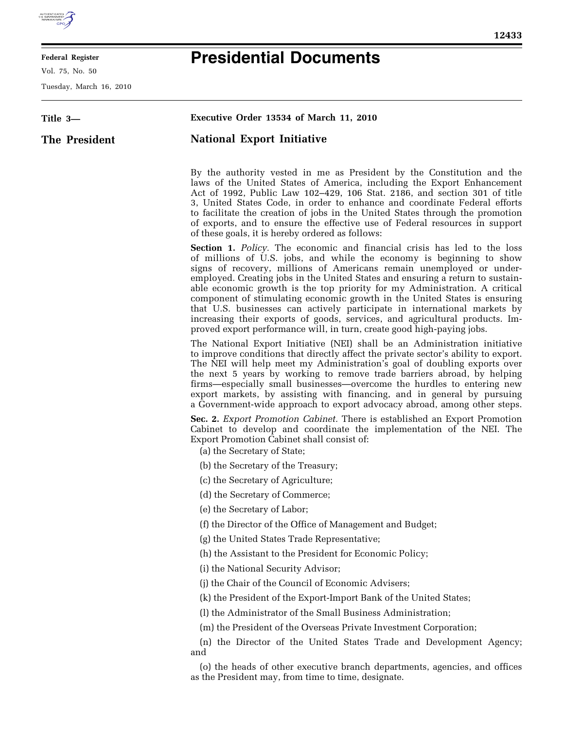

E

## **Federal Register**

Vol. 75, No. 50

Tuesday, March 16, 2010

 $\equiv$ 

## **Presidential Documents**

| Title 3-      | Executive Order 13534 of March 11, 2010                                                                                                                                                                                                                                                                                                                                                                                                                                                                                                                                                                                                                                                                            |
|---------------|--------------------------------------------------------------------------------------------------------------------------------------------------------------------------------------------------------------------------------------------------------------------------------------------------------------------------------------------------------------------------------------------------------------------------------------------------------------------------------------------------------------------------------------------------------------------------------------------------------------------------------------------------------------------------------------------------------------------|
| The President | <b>National Export Initiative</b>                                                                                                                                                                                                                                                                                                                                                                                                                                                                                                                                                                                                                                                                                  |
|               |                                                                                                                                                                                                                                                                                                                                                                                                                                                                                                                                                                                                                                                                                                                    |
|               | By the authority vested in me as President by the Constitution and the<br>laws of the United States of America, including the Export Enhancement<br>Act of 1992, Public Law 102–429, 106 Stat. 2186, and section 301 of title<br>3, United States Code, in order to enhance and coordinate Federal efforts<br>to facilitate the creation of jobs in the United States through the promotion<br>of exports, and to ensure the effective use of Federal resources in support<br>of these goals, it is hereby ordered as follows:                                                                                                                                                                                     |
|               | <b>Section 1.</b> Policy. The economic and financial crisis has led to the loss<br>of millions of U.S. jobs, and while the economy is beginning to show<br>signs of recovery, millions of Americans remain unemployed or under-<br>employed. Creating jobs in the United States and ensuring a return to sustain-<br>able economic growth is the top priority for my Administration. A critical<br>component of stimulating economic growth in the United States is ensuring<br>that U.S. businesses can actively participate in international markets by<br>increasing their exports of goods, services, and agricultural products. Im-<br>proved export performance will, in turn, create good high-paying jobs. |
|               | The National Export Initiative (NEI) shall be an Administration initiative<br>to improve conditions that directly affect the private sector's ability to export.<br>The NEI will help meet my Administration's goal of doubling exports over<br>the next 5 years by working to remove trade barriers abroad, by helping<br>firms—especially small businesses—overcome the hurdles to entering new<br>export markets, by assisting with financing, and in general by pursuing<br>a Government-wide approach to export advocacy abroad, among other steps.                                                                                                                                                           |
|               | Sec. 2. Export Promotion Cabinet. There is established an Export Promotion<br>Cabinet to develop and coordinate the implementation of the NEI. The<br>Export Promotion Cabinet shall consist of:<br>(a) the Secretary of State;                                                                                                                                                                                                                                                                                                                                                                                                                                                                                    |
|               | (b) the Secretary of the Treasury;                                                                                                                                                                                                                                                                                                                                                                                                                                                                                                                                                                                                                                                                                 |
|               | (c) the Secretary of Agriculture;                                                                                                                                                                                                                                                                                                                                                                                                                                                                                                                                                                                                                                                                                  |
|               | (d) the Secretary of Commerce;                                                                                                                                                                                                                                                                                                                                                                                                                                                                                                                                                                                                                                                                                     |
|               | (e) the Secretary of Labor;                                                                                                                                                                                                                                                                                                                                                                                                                                                                                                                                                                                                                                                                                        |
|               | (f) the Director of the Office of Management and Budget;                                                                                                                                                                                                                                                                                                                                                                                                                                                                                                                                                                                                                                                           |
|               | (g) the United States Trade Representative;                                                                                                                                                                                                                                                                                                                                                                                                                                                                                                                                                                                                                                                                        |
|               | (h) the Assistant to the President for Economic Policy;                                                                                                                                                                                                                                                                                                                                                                                                                                                                                                                                                                                                                                                            |
|               | (i) the National Security Advisor;                                                                                                                                                                                                                                                                                                                                                                                                                                                                                                                                                                                                                                                                                 |
|               | (j) the Chair of the Council of Economic Advisers;                                                                                                                                                                                                                                                                                                                                                                                                                                                                                                                                                                                                                                                                 |
|               | (k) the President of the Export-Import Bank of the United States;                                                                                                                                                                                                                                                                                                                                                                                                                                                                                                                                                                                                                                                  |
|               | (l) the Administrator of the Small Business Administration;                                                                                                                                                                                                                                                                                                                                                                                                                                                                                                                                                                                                                                                        |
|               | (m) the President of the Overseas Private Investment Corporation;                                                                                                                                                                                                                                                                                                                                                                                                                                                                                                                                                                                                                                                  |
|               | (n) the Director of the United States Trade and Development Agency;<br>and                                                                                                                                                                                                                                                                                                                                                                                                                                                                                                                                                                                                                                         |
|               | (o) the heads of other executive branch departments, agencies, and offices<br>as the President may, from time to time, designate.                                                                                                                                                                                                                                                                                                                                                                                                                                                                                                                                                                                  |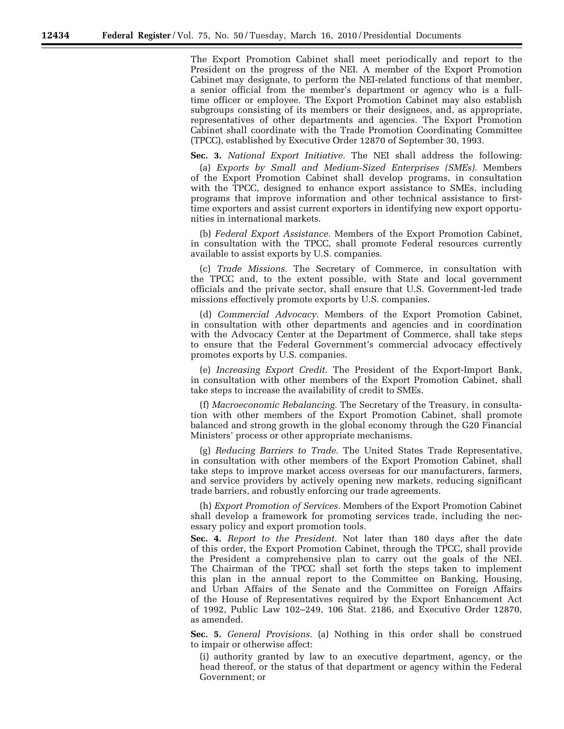The Export Promotion Cabinet shall meet periodically and report to the President on the progress of the NEI. A member of the Export Promotion Cabinet may designate, to perform the NEI-related functions of that member, a senior official from the member's department or agency who is a fulltime officer or employee. The Export Promotion Cabinet may also establish subgroups consisting of its members or their designees, and, as appropriate, representatives of other departments and agencies. The Export Promotion Cabinet shall coordinate with the Trade Promotion Coordinating Committee (TPCC), established by Executive Order 12870 of September 30, 1993.

**Sec. 3.** *National Export Initiative.* The NEI shall address the following:

(a) *Exports by Small and Medium-Sized Enterprises (SMEs).* Members of the Export Promotion Cabinet shall develop programs, in consultation with the TPCC, designed to enhance export assistance to SMEs, including programs that improve information and other technical assistance to firsttime exporters and assist current exporters in identifying new export opportunities in international markets.

(b) *Federal Export Assistance.* Members of the Export Promotion Cabinet, in consultation with the TPCC, shall promote Federal resources currently available to assist exports by U.S. companies.

(c) *Trade Missions.* The Secretary of Commerce, in consultation with the TPCC and, to the extent possible, with State and local government officials and the private sector, shall ensure that U.S. Government-led trade missions effectively promote exports by U.S. companies.

(d) *Commercial Advocacy.* Members of the Export Promotion Cabinet, in consultation with other departments and agencies and in coordination with the Advocacy Center at the Department of Commerce, shall take steps to ensure that the Federal Government's commercial advocacy effectively promotes exports by U.S. companies.

(e) *Increasing Export Credit.* The President of the Export-Import Bank, in consultation with other members of the Export Promotion Cabinet, shall take steps to increase the availability of credit to SMEs.

(f) *Macroeconomic Rebalancing.* The Secretary of the Treasury, in consultation with other members of the Export Promotion Cabinet, shall promote balanced and strong growth in the global economy through the G20 Financial Ministers' process or other appropriate mechanisms.

(g) *Reducing Barriers to Trade.* The United States Trade Representative, in consultation with other members of the Export Promotion Cabinet, shall take steps to improve market access overseas for our manufacturers, farmers, and service providers by actively opening new markets, reducing significant trade barriers, and robustly enforcing our trade agreements.

(h) *Export Promotion of Services.* Members of the Export Promotion Cabinet shall develop a framework for promoting services trade, including the necessary policy and export promotion tools.

**Sec. 4.** *Report to the President.* Not later than 180 days after the date of this order, the Export Promotion Cabinet, through the TPCC, shall provide the President a comprehensive plan to carry out the goals of the NEI. The Chairman of the TPCC shall set forth the steps taken to implement this plan in the annual report to the Committee on Banking, Housing, and Urban Affairs of the Senate and the Committee on Foreign Affairs of the House of Representatives required by the Export Enhancement Act of 1992, Public Law 102–249, 106 Stat. 2186, and Executive Order 12870, as amended.

**Sec. 5.** *General Provisions.* (a) Nothing in this order shall be construed to impair or otherwise affect:

(i) authority granted by law to an executive department, agency, or the head thereof, or the status of that department or agency within the Federal Government; or